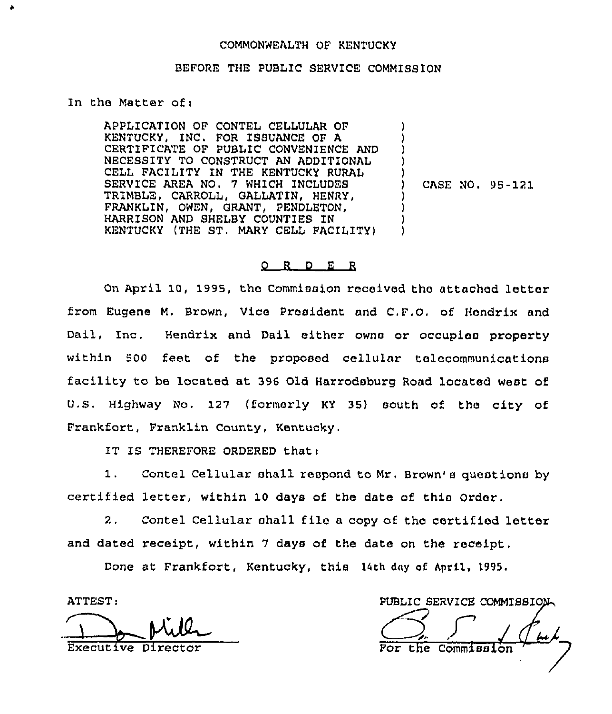## COMMONWEALTH OF KENTUCKY

### BEFORE THE PUBLIC SERVICE COMMISSION

In the Matter of <sup>i</sup>

APPLICATION OF CONTEL CELLULAR OF KENTUCKY, INC. FOR ISSUANCE OF A CERTIFICATE OF PUBLIC CONVENIENCE AND NECESSITY TO CONSTRUCT AN ADDITIONAL CELL FACILITY 1N THE KENTUCKY RURAL SERVICE AREA NO, 7 WHICH INCLUDES TRIMBLE, CARROLL, GALLATIN, HENRY, FRANKLIN, OWEN, GRANT, PENDLETON, HARRISON AND SHELBY COUNTIES IN KENTUCKY (THE ST, MARY CELL FACILITY) ) ) )  $\cdot$ ) CASE NO, 95-1?1 ) ) ) )

#### 0 R <sup>D</sup> E R

On April 10, 1995, the Commission received tho attached letter from Eugene M. Brown, Vice President and C,F.O. of Hondrix and Dail, Inc. Hendrix and Dail either owns or occupies property within 500 feet of the proposed cellular telecommunications facility to be located at 396 Old Harrodsburg Road located west of U.S. Highway No. 127 (formerly KY 35) south of the city of Frankfort, Franklin County, Kentucky.

IT IS THEREFORE ORDERED thati

1. Contel Cellular shall respond to Mr. Brown's questions by certified letter, within 10 days of the date of this Order.

2. Contel Cellular shall file a copy of the certified letter and dated receipt, within 7 days of the date on the receipt.

Done at Frankfort, Kentucky, this 14th day af April, )995,

ATTEST:

Executive Director

PUBLIC SERVICE COMMISSIO For the Commission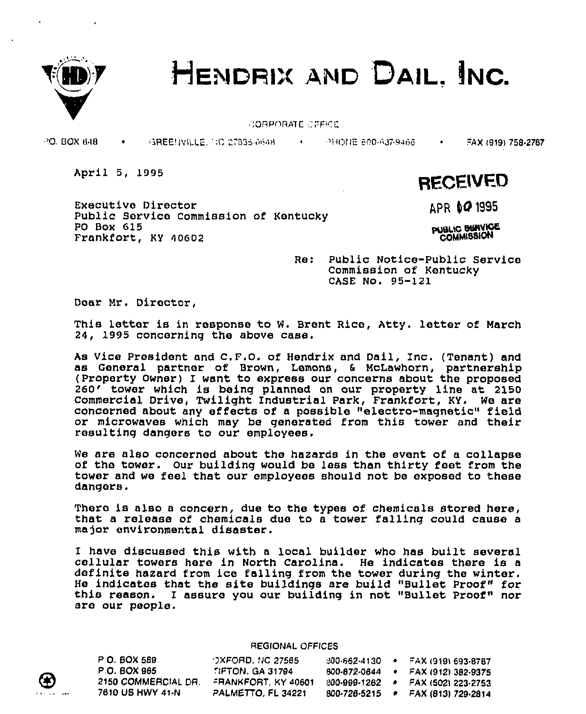



CORPORATE CEFFICE

PO. BOX 648 • 3REENVILLE, ':0 27835-0648 • PHONE B00-637-9466 • FAX (919) 758-2767

April 5, 1995

Executive Director public Service commission of Kentucky PO Box 615 Frankfort, KY 40602

APR 60 1995

**RECEIVED** 

**PUBLIC SHAVICE** COMM)88ON

Re: Public Notice-Public Service Commission of Kentucky CASE No. 95-121

Dear Mr. Director,

This letter is in response to W. Brent Rice, Atty. letter of March 24, 1995 concerning the above case.

As Vice President, and C.F.O. of Hendrix and Dail, Inc. (Tenant) and as General partner of Brown, Lemons, & McLawhorn, partnership<br>(Property Owner) I want to express our concerns about the proposed (Property Owner) I want to express our concerns about the proposed<br>260' tower which is being planned on our property line at 2150 Commercial Drive, Twilight Industrial Park, Frankfort, KY. We are concerned about any effects of a possible "electro-magnetic" field or microwaves which may be generated from this tower and their resulting dangers to our employees.

We are also concerned about the hazards in the event of a collapse of the tower. Our building would be less than thirty feet from the tower and we feel that our employees should not be exposed to these dangers.

There is also <sup>a</sup> concern, due to the types of chemicals stored here, that a release of chemicals due to a tower falling could cause a major environmental disaster.

<sup>I</sup> have discussed this with <sup>a</sup> local builder who has built several cellular towers here in North Carolina. He indicates there is <sup>a</sup> definite hazard from ice falling from the tower during the winter.<br>He indicates that the site buildings are build "Bullet Proof" for this reason. I assure you our building in not "Bullet Proof" nor are our people.

## REGIONAL OFFICES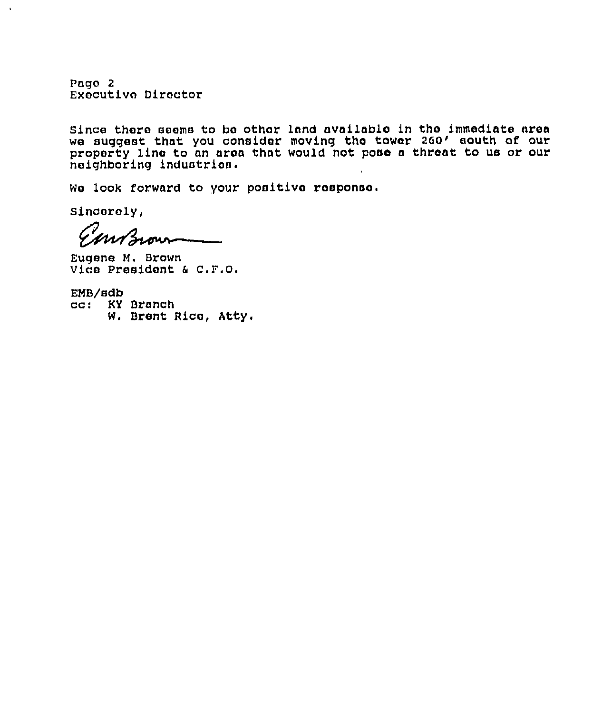Pago 2 Executive Director

since thoro seems to bo other land availablo in tho immediate area we suggest that you consider moving the towar 260' south of our property line to an aroa that would not paso <sup>a</sup> threat to us or our neighboring industries.

We look forward to your positive response.

sincerely,

 $\sim$   $\alpha$ 

mBrown

Eugene M. Brown Vice President & C.F.O.

EMB/sdb cc: KY Branch W. Brent Rico, Atty.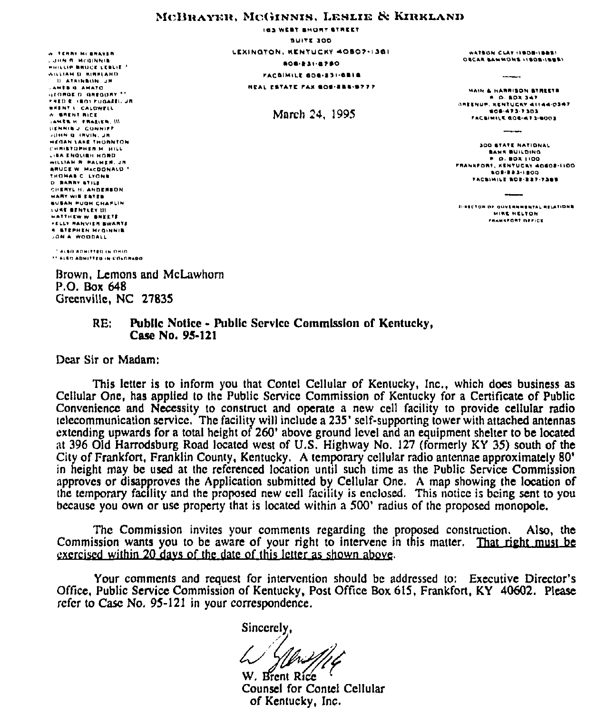# MCBRAYER, MCGINNIS, LESLIE & KIRKLAND

**O TERRY MCBRAYER LURN R. MCGINNIE** HHILLIP BRUCE LEBLIE \* WILLIAM D. RIBRIAHD **U. ATRINBON, JR** AMERIO AMATO **STOROED OREGONY \*\*** FRED K. (BO) FUGAEEL JR **WHENT L. CALDWELL A SREAT RICE** AMERIK PRAEIER, III DENNIS J. CONNIER JOHN Q. (RVIN, JR **HEGAN LAKE THOMNTON** CHRISTOPHER M. HILL LIBA ENOLIBH HORD. WILLIAM R. PALMER, JR **ARUCE W. MACDONALD."** THOMAS C. LYONS **D. BARRY STILE** CHERYL H. ANDERSON **MARY WIR ESTER** *BUBAN FUDH CHAPLIN* LUST BENTLEY III MATTHEW W. BREETE **\*ELLY RAHVIER SWARTZ** *<b>A BTEPHEN MCOINNIE* **JON A WOODALL** 

**IGS WERT BHORT STREET** BUILT 300 LEXINOTON, RENTUCKY 40807-1381 **BOS-231-8780** FACSIMILE BOS-331-CBIG **HEAL ESTATE FAX BOS-ERS-9777** 

March 24, 1995

WATEON CLAY ILBORILEERS OECAR SAMMONS 11808-15581

**MAIN & HARRISON STREETS** P.O. BOX 347 **GREENOP, NENTUCKY 41144-0347** 606-473-7303 FACEIMILE GOE-473-6003

300 STATE NATIONAL **BANK BUILDING**  $0.0081100$ FRANKFORT, KENTUCKY 40602-1100 **BOB-023-1800** FACSIMILE BOS-337-7369

**DIRECTOR OF GOVERNMENTAL RELATIONS** MIRE NELTON FRANKFORT REFICE

<sup>2</sup> ALBO ADMITTED IN OHIO 11 ALBO ADMITTED IN COLORADO

Brown, Lemons and McLawhorn P.O. Box 648 Greenville, NC 27835

#### $RE:$ Public Notice - Public Service Commission of Kentucky, Case No. 95-121

Dear Sir or Madam:

This letter is to inform you that Contel Cellular of Kentucky, Inc., which does business as Cellular One, has applied to the Public Service Commission of Kentucky for a Certificate of Public Convenience and Necessity to construct and operate a new cell facility to provide cellular radio telecommunication service. The facility will include a 235' self-supporting tower with attached antennas extending upwards for a total height of 260' above ground level and an equipment shelter to be located at 396 Old Harrodsburg Road located west of U.S. Highway No. 127 (formerly KY 35) south of the City of Frankfort, Franklin County, Kentucky. A temporary cellular radio antennae approximately 80' in height may be used at the referenced location until such time as the Public Service Commission approves or disapproves the Application submitted by Cellular One. A map showing the location of the temporary facility and the proposed new cell facility is enclosed. This notice is being sent to you because you own or use property that is located within a 500' radius of the proposed monopole.

The Commission invites your comments regarding the proposed construction. Also, the Commission wants you to be aware of your right to intervene in this matter. That right must be exercised within 20 days of the date of this letter as shown above.

Your comments and request for intervention should be addressed to: Executive Director's Office, Public Service Commission of Kentucky, Post Office Box 615, Frankfort, KY 40602. Please refer to Case No. 95-121 in your correspondence.

Sincerely.

W. Brent Rice Counsel for Contel Cellular of Kentucky, Inc.